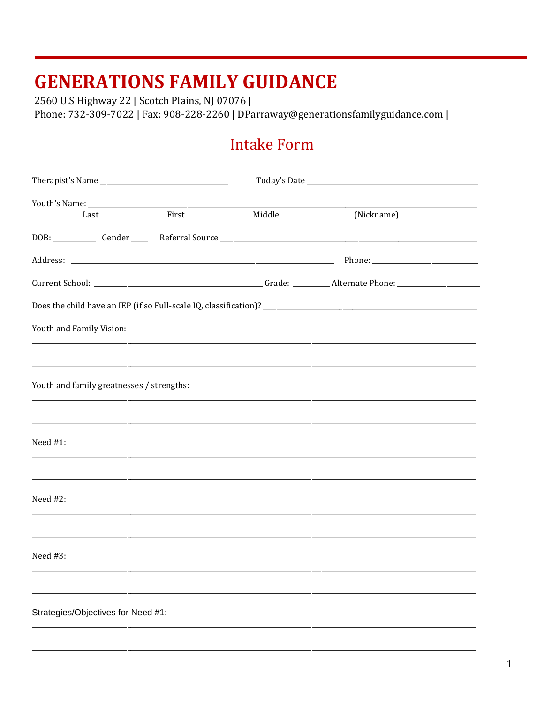2560 U.S Highway 22 | Scotch Plains, NJ 07076 | Phone: 732-309-7022 | Fax: 908-228-2260 | DParraway@generationsfamilyguidance.com |

#### **Intake Form**

| Last                                      | First | Middle | (Nickname) |  |
|-------------------------------------------|-------|--------|------------|--|
|                                           |       |        |            |  |
|                                           |       |        |            |  |
|                                           |       |        |            |  |
|                                           |       |        |            |  |
| Youth and Family Vision:                  |       |        |            |  |
|                                           |       |        |            |  |
| Youth and family greatnesses / strengths: |       |        |            |  |
| Need $#1$ :                               |       |        |            |  |
| Need #2:                                  |       |        |            |  |
| Need #3:                                  |       |        |            |  |
|                                           |       |        |            |  |
| Strategies/Objectives for Need #1:        |       |        |            |  |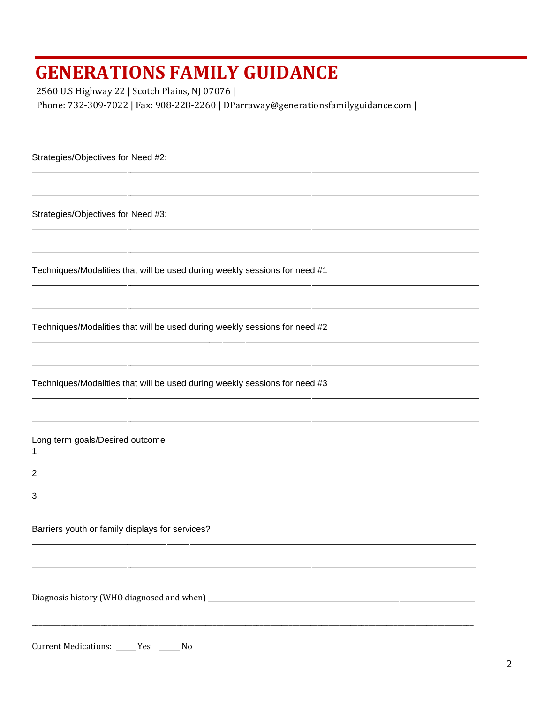2560 U.S Highway 22 | Scotch Plains, NJ 07076 | Phone: 732-309-7022 | Fax: 908-228-2260 | DParraway@generationsfamilyguidance.com |

Strategies/Objectives for Need #2:

Strategies/Objectives for Need #3:

Techniques/Modalities that will be used during weekly sessions for need #1

Techniques/Modalities that will be used during weekly sessions for need #2

Techniques/Modalities that will be used during weekly sessions for need #3

Long term goals/Desired outcome  $1.$ 

 $2.$ 

 $3.$ 

Barriers youth or family displays for services?

Current Medications: \_\_\_\_\_ Yes \_\_\_\_\_ No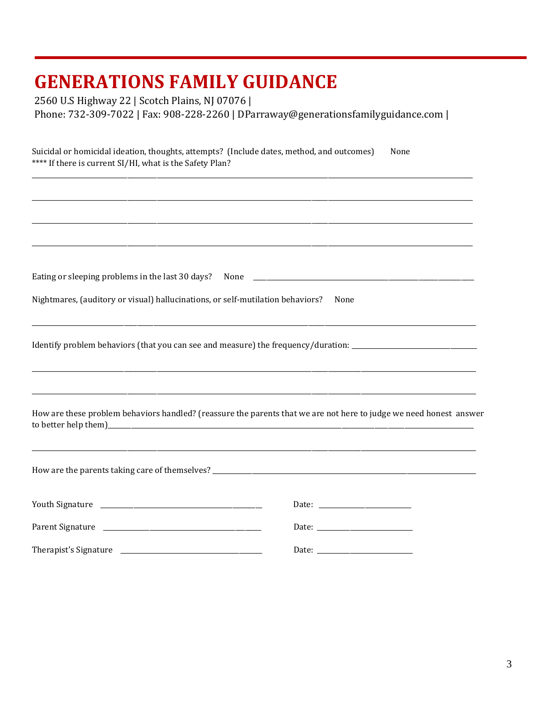2560 U.S Highway 22 | Scotch Plains, NJ 07076 |<br>Phone: 732-309-7022 | Fax: 908-228-2260 | DParraway@generationsfamilyguidance.com |

| Suicidal or homicidal ideation, thoughts, attempts? (Include dates, method, and outcomes)<br>None<br>**** If there is current SI/HI, what is the Safety Plan? |                                                                                                                                                       |  |  |  |
|---------------------------------------------------------------------------------------------------------------------------------------------------------------|-------------------------------------------------------------------------------------------------------------------------------------------------------|--|--|--|
|                                                                                                                                                               | ,我们也不能在这里的时候,我们也不能在这里的时候,我们也不能在这里的时候,我们也不能会不能会不能会不能会不能会不能会不能会不能会。<br>第2012章 我们的时候,我们的时候,我们的时候,我们的时候,我们的时候,我们的时候,我们的时候,我们的时候,我们的时候,我们的时候,我们的时候,我们的时候,我 |  |  |  |
|                                                                                                                                                               |                                                                                                                                                       |  |  |  |
|                                                                                                                                                               |                                                                                                                                                       |  |  |  |
|                                                                                                                                                               |                                                                                                                                                       |  |  |  |
|                                                                                                                                                               |                                                                                                                                                       |  |  |  |
| Nightmares, (auditory or visual) hallucinations, or self-mutilation behaviors?                                                                                | None                                                                                                                                                  |  |  |  |
|                                                                                                                                                               | Identify problem behaviors (that you can see and measure) the frequency/duration: ____________________________                                        |  |  |  |
|                                                                                                                                                               | How are these problem behaviors handled? (reassure the parents that we are not here to judge we need honest answer                                    |  |  |  |
|                                                                                                                                                               |                                                                                                                                                       |  |  |  |
|                                                                                                                                                               |                                                                                                                                                       |  |  |  |
|                                                                                                                                                               |                                                                                                                                                       |  |  |  |
|                                                                                                                                                               |                                                                                                                                                       |  |  |  |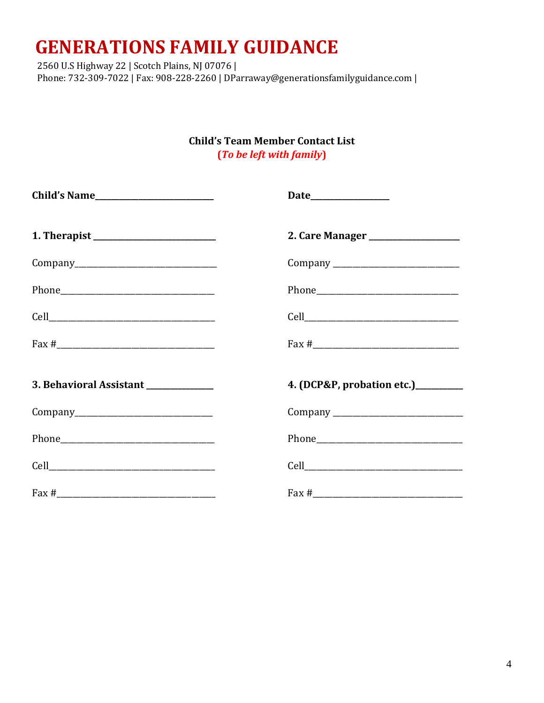2560 U.S Highway 22 | Scotch Plains, NJ 07076 | Phone: 732-309-7022 | Fax: 908-228-2260 | DParraway@generationsfamilyguidance.com |

> **Child's Team Member Contact List** (To be left with family)

| $\text{Fax } \#$                     | $\text{Fax } \#$                   |
|--------------------------------------|------------------------------------|
| 3. Behavioral Assistant ____________ | 4. (DCP&P, probation etc.)________ |
|                                      |                                    |
|                                      |                                    |
|                                      |                                    |
|                                      | $\text{Fax} \#$                    |